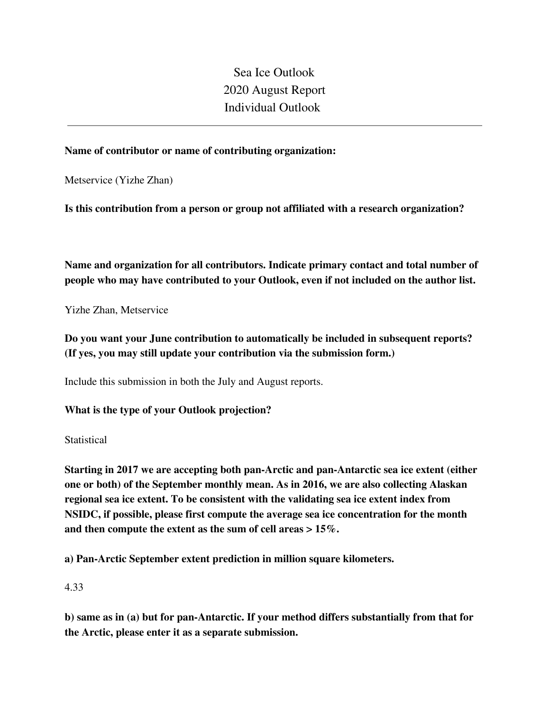Sea Ice Outlook 2020 August Report Individual Outlook

## **Name of contributor or name of contributing organization:**

Metservice (Yizhe Zhan)

**Is this contribution from a person or group not affiliated with a research organization?** 

**Name and organization for all contributors. Indicate primary contact and total number of people who may have contributed to your Outlook, even if not included on the author list.**

Yizhe Zhan, Metservice

**Do you want your June contribution to automatically be included in subsequent reports? (If yes, you may still update your contribution via the submission form.)**

Include this submission in both the July and August reports.

**What is the type of your Outlook projection?** 

**Statistical** 

**Starting in 2017 we are accepting both pan-Arctic and pan-Antarctic sea ice extent (either one or both) of the September monthly mean. As in 2016, we are also collecting Alaskan regional sea ice extent. To be consistent with the validating sea ice extent index from NSIDC, if possible, please first compute the average sea ice concentration for the month and then compute the extent as the sum of cell areas > 15%.**

**a) Pan-Arctic September extent prediction in million square kilometers.**

4.33

**b) same as in (a) but for pan-Antarctic. If your method differs substantially from that for the Arctic, please enter it as a separate submission.**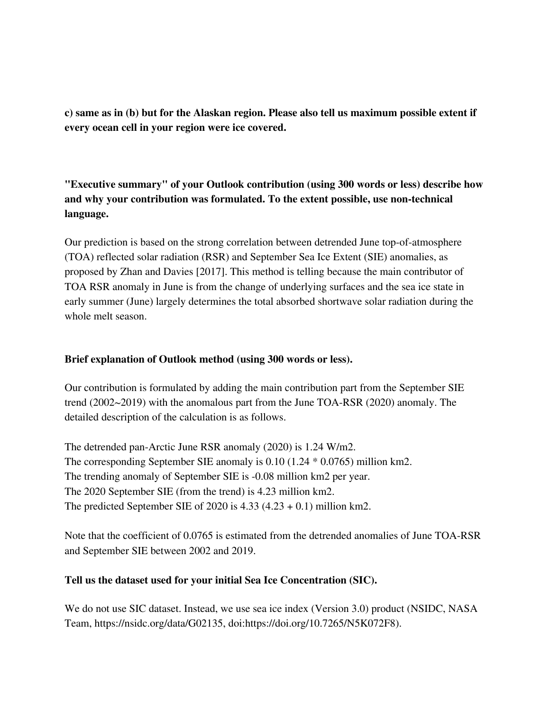**c) same as in (b) but for the Alaskan region. Please also tell us maximum possible extent if every ocean cell in your region were ice covered.**

**"Executive summary" of your Outlook contribution (using 300 words or less) describe how and why your contribution was formulated. To the extent possible, use non-technical language.**

Our prediction is based on the strong correlation between detrended June top-of-atmosphere (TOA) reflected solar radiation (RSR) and September Sea Ice Extent (SIE) anomalies, as proposed by Zhan and Davies [2017]. This method is telling because the main contributor of TOA RSR anomaly in June is from the change of underlying surfaces and the sea ice state in early summer (June) largely determines the total absorbed shortwave solar radiation during the whole melt season.

# **Brief explanation of Outlook method (using 300 words or less).**

Our contribution is formulated by adding the main contribution part from the September SIE trend (2002~2019) with the anomalous part from the June TOA-RSR (2020) anomaly. The detailed description of the calculation is as follows.

The detrended pan-Arctic June RSR anomaly (2020) is 1.24 W/m2. The corresponding September SIE anomaly is 0.10 (1.24 \* 0.0765) million km2. The trending anomaly of September SIE is -0.08 million km2 per year. The 2020 September SIE (from the trend) is 4.23 million km2. The predicted September SIE of 2020 is  $4.33$   $(4.23 + 0.1)$  million km2.

Note that the coefficient of 0.0765 is estimated from the detrended anomalies of June TOA-RSR and September SIE between 2002 and 2019.

### **Tell us the dataset used for your initial Sea Ice Concentration (SIC).**

We do not use SIC dataset. Instead, we use sea ice index (Version 3.0) product (NSIDC, NASA Team, https://nsidc.org/data/G02135, doi:https://doi.org/10.7265/N5K072F8).